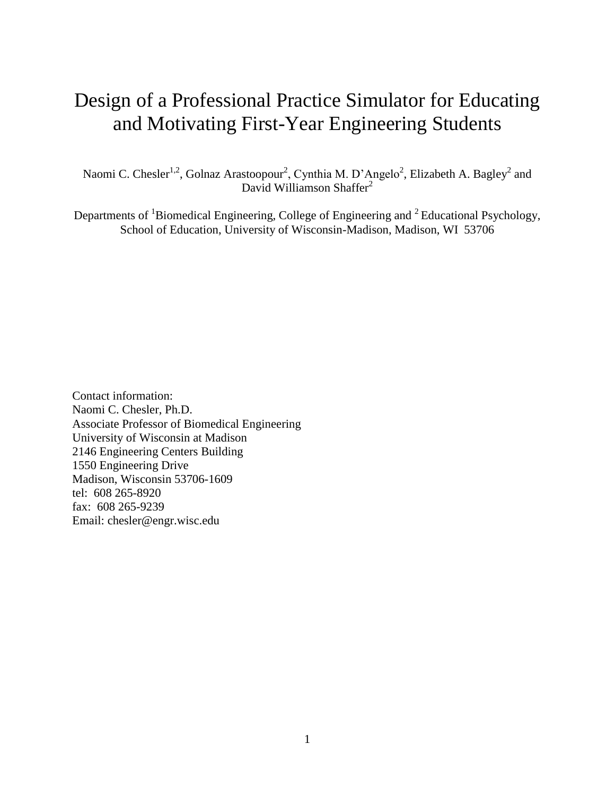# Design of a Professional Practice Simulator for Educating and Motivating First-Year Engineering Students

Naomi C. Chesler<sup>1,2</sup>, Golnaz Arastoopour<sup>2</sup>, Cynthia M. D'Angelo<sup>2</sup>, Elizabeth A. Bagley<sup>2</sup> and David Williamson Shaffer<sup>2</sup>

Departments of  ${}^{1}$ Biomedical Engineering, College of Engineering and  ${}^{2}$  Educational Psychology, School of Education, University of Wisconsin-Madison, Madison, WI 53706

Contact information: Naomi C. Chesler, Ph.D. Associate Professor of Biomedical Engineering University of Wisconsin at Madison 2146 Engineering Centers Building 1550 Engineering Drive Madison, Wisconsin 53706-1609 tel: 608 265-8920 fax: 608 265-9239 Email: chesler@engr.wisc.edu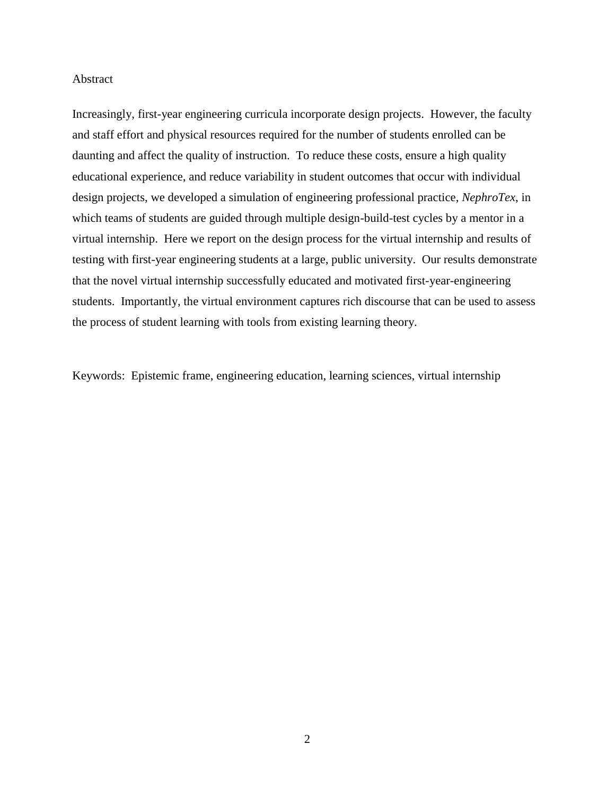#### Abstract

Increasingly, first-year engineering curricula incorporate design projects. However, the faculty and staff effort and physical resources required for the number of students enrolled can be daunting and affect the quality of instruction. To reduce these costs, ensure a high quality educational experience, and reduce variability in student outcomes that occur with individual design projects, we developed a simulation of engineering professional practice, *NephroTex*, in which teams of students are guided through multiple design-build-test cycles by a mentor in a virtual internship. Here we report on the design process for the virtual internship and results of testing with first-year engineering students at a large, public university. Our results demonstrate that the novel virtual internship successfully educated and motivated first-year-engineering students. Importantly, the virtual environment captures rich discourse that can be used to assess the process of student learning with tools from existing learning theory.

Keywords: Epistemic frame, engineering education, learning sciences, virtual internship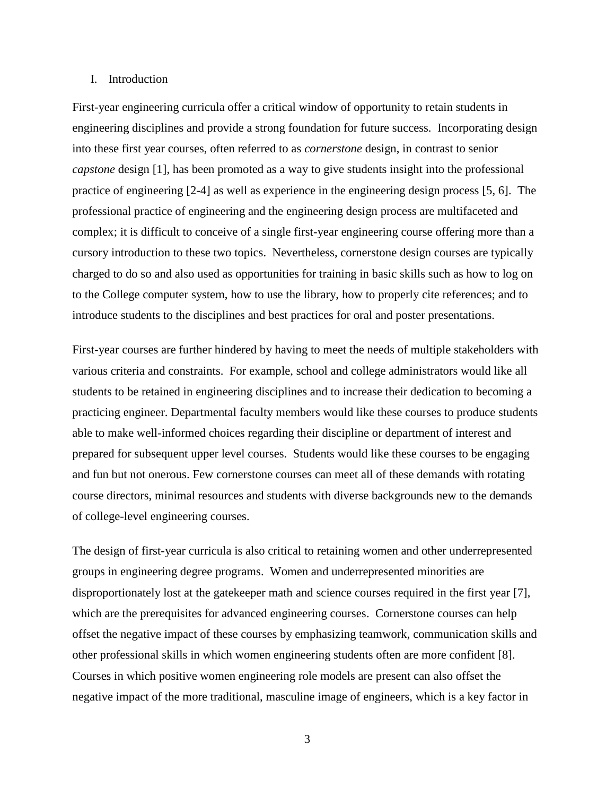#### I. Introduction

First-year engineering curricula offer a critical window of opportunity to retain students in engineering disciplines and provide a strong foundation for future success. Incorporating design into these first year courses, often referred to as *cornerstone* design, in contrast to senior *capstone* design [\[1\]](#page-22-0), has been promoted as a way to give students insight into the professional practice of engineering [\[2-4\]](#page-22-1) as well as experience in the engineering design process [\[5,](#page-22-2) [6\]](#page-22-3). The professional practice of engineering and the engineering design process are multifaceted and complex; it is difficult to conceive of a single first-year engineering course offering more than a cursory introduction to these two topics. Nevertheless, cornerstone design courses are typically charged to do so and also used as opportunities for training in basic skills such as how to log on to the College computer system, how to use the library, how to properly cite references; and to introduce students to the disciplines and best practices for oral and poster presentations.

First-year courses are further hindered by having to meet the needs of multiple stakeholders with various criteria and constraints. For example, school and college administrators would like all students to be retained in engineering disciplines and to increase their dedication to becoming a practicing engineer. Departmental faculty members would like these courses to produce students able to make well-informed choices regarding their discipline or department of interest and prepared for subsequent upper level courses. Students would like these courses to be engaging and fun but not onerous. Few cornerstone courses can meet all of these demands with rotating course directors, minimal resources and students with diverse backgrounds new to the demands of college-level engineering courses.

The design of first-year curricula is also critical to retaining women and other underrepresented groups in engineering degree programs. Women and underrepresented minorities are disproportionately lost at the gatekeeper math and science courses required in the first year [\[7\]](#page-22-4), which are the prerequisites for advanced engineering courses. Cornerstone courses can help offset the negative impact of these courses by emphasizing teamwork, communication skills and other professional skills in which women engineering students often are more confident [\[8\]](#page-22-5). Courses in which positive women engineering role models are present can also offset the negative impact of the more traditional, masculine image of engineers, which is a key factor in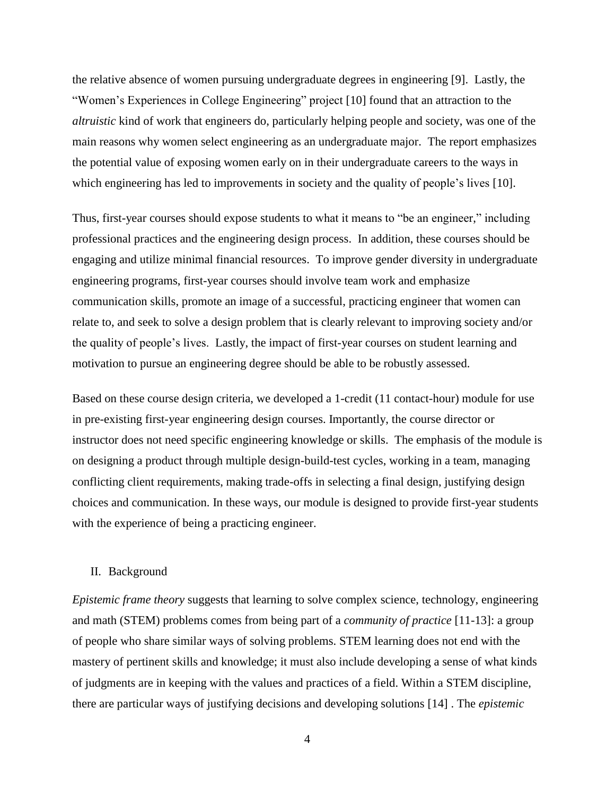the relative absence of women pursuing undergraduate degrees in engineering [\[9\]](#page-22-6). Lastly, the "Women's Experiences in College Engineering" project [\[10\]](#page-22-7) found that an attraction to the *altruistic* kind of work that engineers do, particularly helping people and society, was one of the main reasons why women select engineering as an undergraduate major. The report emphasizes the potential value of exposing women early on in their undergraduate careers to the ways in which engineering has led to improvements in society and the quality of people's lives [\[10\]](#page-22-7).

Thus, first-year courses should expose students to what it means to "be an engineer," including professional practices and the engineering design process. In addition, these courses should be engaging and utilize minimal financial resources. To improve gender diversity in undergraduate engineering programs, first-year courses should involve team work and emphasize communication skills, promote an image of a successful, practicing engineer that women can relate to, and seek to solve a design problem that is clearly relevant to improving society and/or the quality of people's lives. Lastly, the impact of first-year courses on student learning and motivation to pursue an engineering degree should be able to be robustly assessed.

Based on these course design criteria, we developed a 1-credit (11 contact-hour) module for use in pre-existing first-year engineering design courses. Importantly, the course director or instructor does not need specific engineering knowledge or skills. The emphasis of the module is on designing a product through multiple design-build-test cycles, working in a team, managing conflicting client requirements, making trade-offs in selecting a final design, justifying design choices and communication. In these ways, our module is designed to provide first-year students with the experience of being a practicing engineer.

### II. Background

*Epistemic frame theory* suggests that learning to solve complex science, technology, engineering and math (STEM) problems comes from being part of a *community of practice* [\[11-13\]](#page-22-8): a group of people who share similar ways of solving problems. STEM learning does not end with the mastery of pertinent skills and knowledge; it must also include developing a sense of what kinds of judgments are in keeping with the values and practices of a field. Within a STEM discipline, there are particular ways of justifying decisions and developing solutions [\[14\]](#page-22-9) . The *epistemic*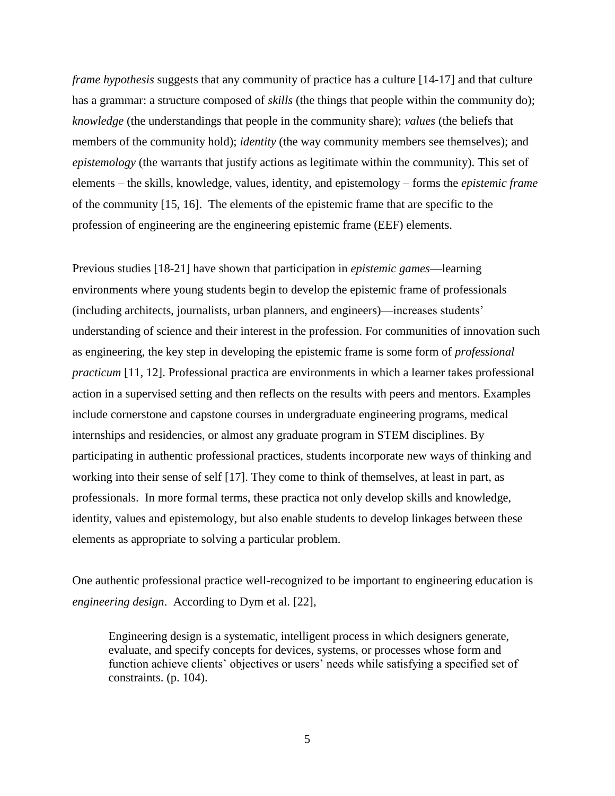*frame hypothesis* suggests that any community of practice has a culture [\[14-17\]](#page-22-9) and that culture has a grammar: a structure composed of *skills* (the things that people within the community do); *knowledge* (the understandings that people in the community share); *values* (the beliefs that members of the community hold); *identity* (the way community members see themselves); and *epistemology* (the warrants that justify actions as legitimate within the community). This set of elements – the skills, knowledge, values, identity, and epistemology – forms the *epistemic frame*  of the community [\[15,](#page-22-10) [16\]](#page-22-11). The elements of the epistemic frame that are specific to the profession of engineering are the engineering epistemic frame (EEF) elements.

Previous studies [\[18-21\]](#page-22-12) have shown that participation in *epistemic games*—learning environments where young students begin to develop the epistemic frame of professionals (including architects, journalists, urban planners, and engineers)—increases students' understanding of science and their interest in the profession. For communities of innovation such as engineering, the key step in developing the epistemic frame is some form of *professional practicum* [\[11,](#page-22-8) [12\]](#page-22-13). Professional practica are environments in which a learner takes professional action in a supervised setting and then reflects on the results with peers and mentors. Examples include cornerstone and capstone courses in undergraduate engineering programs, medical internships and residencies, or almost any graduate program in STEM disciplines. By participating in authentic professional practices, students incorporate new ways of thinking and working into their sense of self [\[17\]](#page-22-14). They come to think of themselves, at least in part, as professionals. In more formal terms, these practica not only develop skills and knowledge, identity, values and epistemology, but also enable students to develop linkages between these elements as appropriate to solving a particular problem.

One authentic professional practice well-recognized to be important to engineering education is *engineering design*. According to Dym et al. [\[22\]](#page-23-0),

Engineering design is a systematic, intelligent process in which designers generate, evaluate, and specify concepts for devices, systems, or processes whose form and function achieve clients' objectives or users' needs while satisfying a specified set of constraints. (p. 104).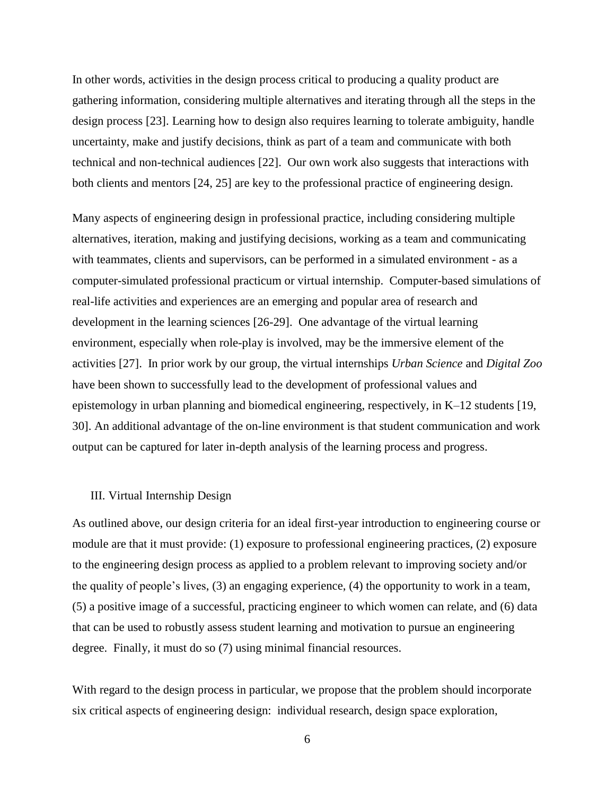In other words, activities in the design process critical to producing a quality product are gathering information, considering multiple alternatives and iterating through all the steps in the design process [\[23\]](#page-23-1). Learning how to design also requires learning to tolerate ambiguity, handle uncertainty, make and justify decisions, think as part of a team and communicate with both technical and non-technical audiences [\[22\]](#page-23-0). Our own work also suggests that interactions with both clients and mentors [\[24,](#page-23-2) [25\]](#page-23-3) are key to the professional practice of engineering design.

Many aspects of engineering design in professional practice, including considering multiple alternatives, iteration, making and justifying decisions, working as a team and communicating with teammates, clients and supervisors, can be performed in a simulated environment - as a computer-simulated professional practicum or virtual internship. Computer-based simulations of real-life activities and experiences are an emerging and popular area of research and development in the learning sciences [\[26-29\]](#page-23-4). One advantage of the virtual learning environment, especially when role-play is involved, may be the immersive element of the activities [\[27\]](#page-23-5). In prior work by our group, the virtual internships *Urban Science* and *Digital Zoo* have been shown to successfully lead to the development of professional values and epistemology in urban planning and biomedical engineering, respectively, in K–12 students [\[19,](#page-22-15) [30\]](#page-23-6). An additional advantage of the on-line environment is that student communication and work output can be captured for later in-depth analysis of the learning process and progress.

#### III. Virtual Internship Design

As outlined above, our design criteria for an ideal first-year introduction to engineering course or module are that it must provide: (1) exposure to professional engineering practices, (2) exposure to the engineering design process as applied to a problem relevant to improving society and/or the quality of people's lives, (3) an engaging experience, (4) the opportunity to work in a team, (5) a positive image of a successful, practicing engineer to which women can relate, and (6) data that can be used to robustly assess student learning and motivation to pursue an engineering degree. Finally, it must do so (7) using minimal financial resources.

With regard to the design process in particular, we propose that the problem should incorporate six critical aspects of engineering design: individual research, design space exploration,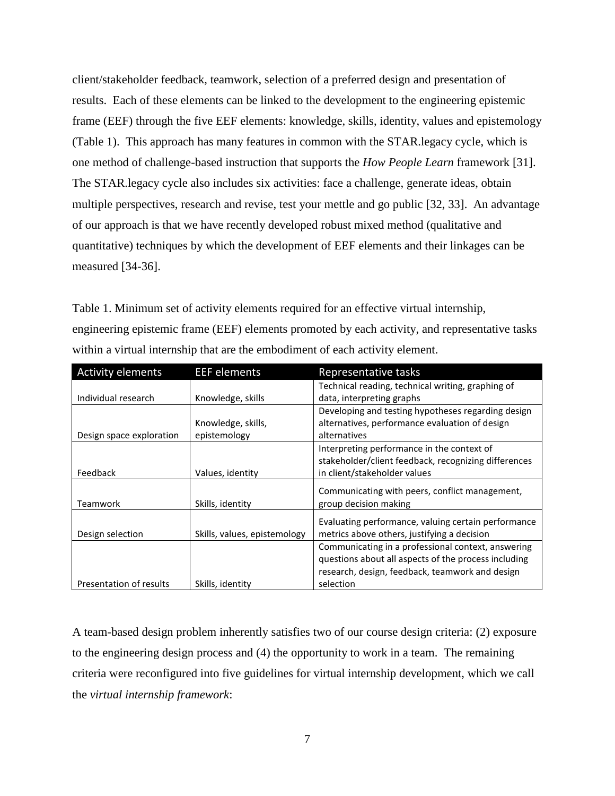client/stakeholder feedback, teamwork, selection of a preferred design and presentation of results. Each of these elements can be linked to the development to the engineering epistemic frame (EEF) through the five EEF elements: knowledge, skills, identity, values and epistemology (Table 1). This approach has many features in common with the STAR.legacy cycle, which is one method of challenge-based instruction that supports the *How People Learn* framework [\[31\]](#page-23-7). The STAR.legacy cycle also includes six activities: face a challenge, generate ideas, obtain multiple perspectives, research and revise, test your mettle and go public [\[32,](#page-23-8) [33\]](#page-23-9). An advantage of our approach is that we have recently developed robust mixed method (qualitative and quantitative) techniques by which the development of EEF elements and their linkages can be measured [\[34-36\]](#page-23-10).

Table 1. Minimum set of activity elements required for an effective virtual internship, engineering epistemic frame (EEF) elements promoted by each activity, and representative tasks within a virtual internship that are the embodiment of each activity element.

| <b>Activity elements</b> | <b>EEF</b> elements          | Representative tasks                                 |
|--------------------------|------------------------------|------------------------------------------------------|
|                          |                              | Technical reading, technical writing, graphing of    |
| Individual research      | Knowledge, skills            | data, interpreting graphs                            |
|                          |                              | Developing and testing hypotheses regarding design   |
|                          | Knowledge, skills,           | alternatives, performance evaluation of design       |
| Design space exploration | epistemology                 | alternatives                                         |
|                          |                              | Interpreting performance in the context of           |
|                          |                              | stakeholder/client feedback, recognizing differences |
| Feedback                 | Values, identity             | in client/stakeholder values                         |
|                          |                              | Communicating with peers, conflict management,       |
| Teamwork                 | Skills, identity             | group decision making                                |
|                          |                              | Evaluating performance, valuing certain performance  |
| Design selection         | Skills, values, epistemology | metrics above others, justifying a decision          |
|                          |                              | Communicating in a professional context, answering   |
|                          |                              | questions about all aspects of the process including |
|                          |                              | research, design, feedback, teamwork and design      |
| Presentation of results  | Skills, identity             | selection                                            |

A team-based design problem inherently satisfies two of our course design criteria: (2) exposure to the engineering design process and (4) the opportunity to work in a team. The remaining criteria were reconfigured into five guidelines for virtual internship development, which we call the *virtual internship framework*: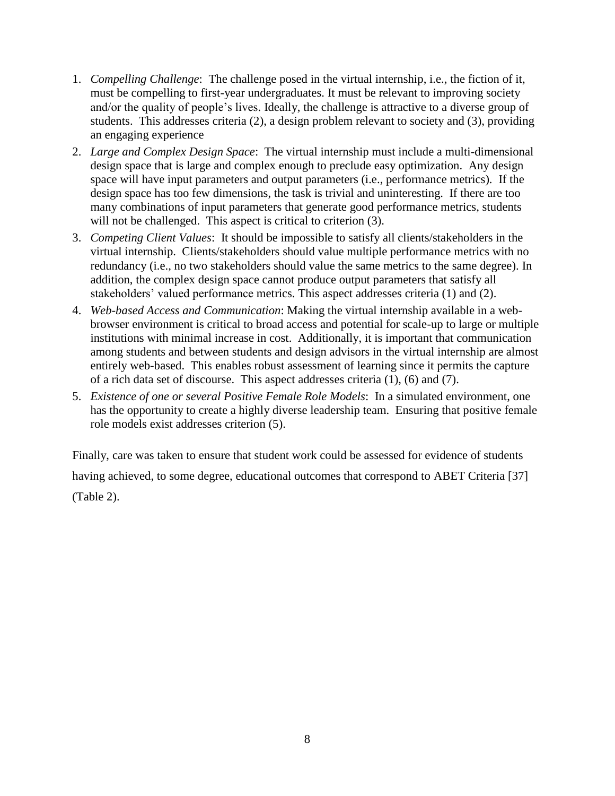- 1. *Compelling Challenge*: The challenge posed in the virtual internship, i.e., the fiction of it, must be compelling to first-year undergraduates. It must be relevant to improving society and/or the quality of people's lives. Ideally, the challenge is attractive to a diverse group of students. This addresses criteria (2), a design problem relevant to society and (3), providing an engaging experience
- 2. *Large and Complex Design Space*: The virtual internship must include a multi-dimensional design space that is large and complex enough to preclude easy optimization. Any design space will have input parameters and output parameters (i.e., performance metrics). If the design space has too few dimensions, the task is trivial and uninteresting. If there are too many combinations of input parameters that generate good performance metrics, students will not be challenged. This aspect is critical to criterion (3).
- 3. *Competing Client Values*: It should be impossible to satisfy all clients/stakeholders in the virtual internship. Clients/stakeholders should value multiple performance metrics with no redundancy (i.e., no two stakeholders should value the same metrics to the same degree). In addition, the complex design space cannot produce output parameters that satisfy all stakeholders' valued performance metrics. This aspect addresses criteria (1) and (2).
- 4. *Web-based Access and Communication*: Making the virtual internship available in a webbrowser environment is critical to broad access and potential for scale-up to large or multiple institutions with minimal increase in cost. Additionally, it is important that communication among students and between students and design advisors in the virtual internship are almost entirely web-based. This enables robust assessment of learning since it permits the capture of a rich data set of discourse. This aspect addresses criteria (1), (6) and (7).
- 5. *Existence of one or several Positive Female Role Models*: In a simulated environment, one has the opportunity to create a highly diverse leadership team. Ensuring that positive female role models exist addresses criterion (5).

Finally, care was taken to ensure that student work could be assessed for evidence of students having achieved, to some degree, educational outcomes that correspond to ABET Criteria [\[37\]](#page-23-11) (Table 2).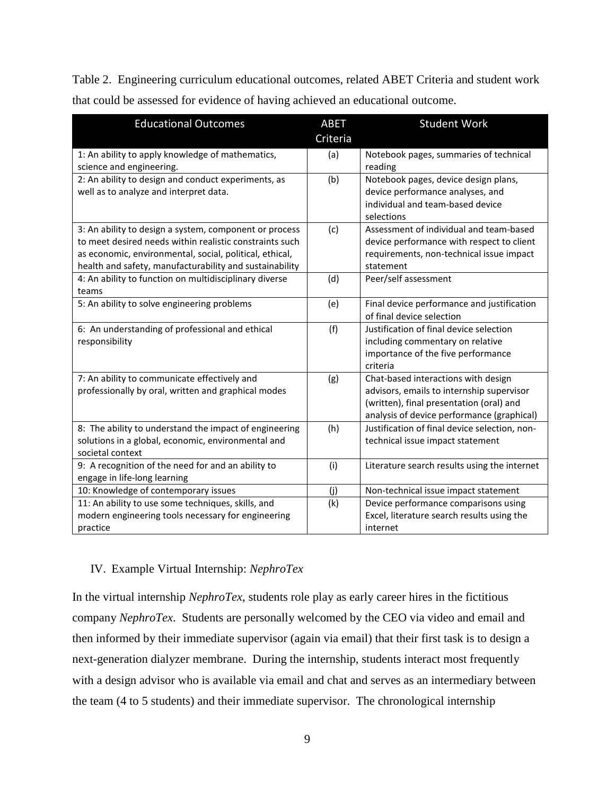Table 2. Engineering curriculum educational outcomes, related ABET Criteria and student work that could be assessed for evidence of having achieved an educational outcome.

| <b>Educational Outcomes</b>                                                                                                                                                                                                             | <b>ABET</b><br>Criteria | <b>Student Work</b>                                                                                                                                                        |
|-----------------------------------------------------------------------------------------------------------------------------------------------------------------------------------------------------------------------------------------|-------------------------|----------------------------------------------------------------------------------------------------------------------------------------------------------------------------|
| 1: An ability to apply knowledge of mathematics,<br>science and engineering.                                                                                                                                                            | (a)                     | Notebook pages, summaries of technical<br>reading                                                                                                                          |
| 2: An ability to design and conduct experiments, as<br>well as to analyze and interpret data.                                                                                                                                           | (b)                     | Notebook pages, device design plans,<br>device performance analyses, and<br>individual and team-based device<br>selections                                                 |
| 3: An ability to design a system, component or process<br>to meet desired needs within realistic constraints such<br>as economic, environmental, social, political, ethical,<br>health and safety, manufacturability and sustainability | (c)                     | Assessment of individual and team-based<br>device performance with respect to client<br>requirements, non-technical issue impact<br>statement                              |
| 4: An ability to function on multidisciplinary diverse<br>teams                                                                                                                                                                         | (d)                     | Peer/self assessment                                                                                                                                                       |
| 5: An ability to solve engineering problems                                                                                                                                                                                             | (e)                     | Final device performance and justification<br>of final device selection                                                                                                    |
| 6: An understanding of professional and ethical<br>responsibility                                                                                                                                                                       | (f)                     | Justification of final device selection<br>including commentary on relative<br>importance of the five performance<br>criteria                                              |
| 7: An ability to communicate effectively and<br>professionally by oral, written and graphical modes                                                                                                                                     | (g)                     | Chat-based interactions with design<br>advisors, emails to internship supervisor<br>(written), final presentation (oral) and<br>analysis of device performance (graphical) |
| 8: The ability to understand the impact of engineering<br>solutions in a global, economic, environmental and<br>societal context                                                                                                        | (h)                     | Justification of final device selection, non-<br>technical issue impact statement                                                                                          |
| 9: A recognition of the need for and an ability to<br>engage in life-long learning                                                                                                                                                      | (i)                     | Literature search results using the internet                                                                                                                               |
| 10: Knowledge of contemporary issues                                                                                                                                                                                                    | (i)                     | Non-technical issue impact statement                                                                                                                                       |
| 11: An ability to use some techniques, skills, and<br>modern engineering tools necessary for engineering<br>practice                                                                                                                    | (k)                     | Device performance comparisons using<br>Excel, literature search results using the<br>internet                                                                             |

## IV. Example Virtual Internship: *NephroTex*

In the virtual internship *NephroTex*, students role play as early career hires in the fictitious company *NephroTex*. Students are personally welcomed by the CEO via video and email and then informed by their immediate supervisor (again via email) that their first task is to design a next-generation dialyzer membrane. During the internship, students interact most frequently with a design advisor who is available via email and chat and serves as an intermediary between the team (4 to 5 students) and their immediate supervisor. The chronological internship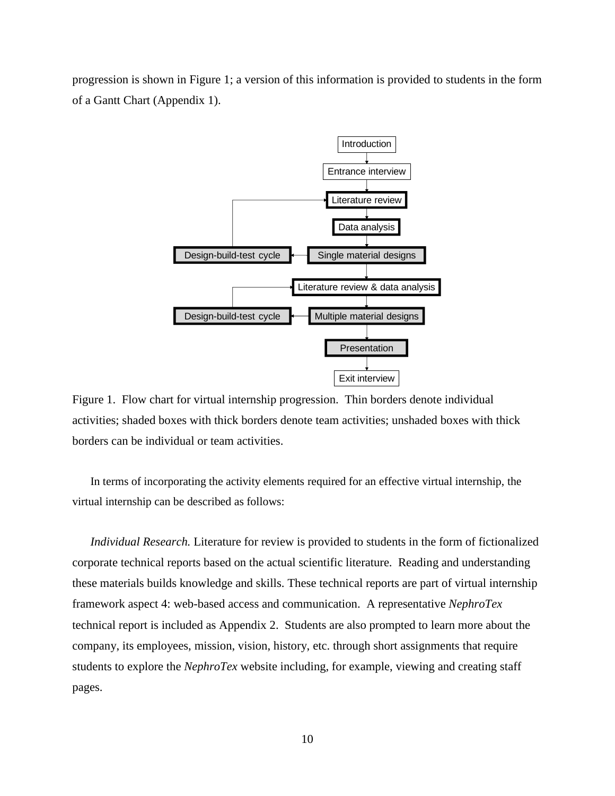progression is shown in Figure 1; a version of this information is provided to students in the form of a Gantt Chart (Appendix 1).



Figure 1. Flow chart for virtual internship progression. Thin borders denote individual activities; shaded boxes with thick borders denote team activities; unshaded boxes with thick borders can be individual or team activities.

In terms of incorporating the activity elements required for an effective virtual internship, the virtual internship can be described as follows:

*Individual Research.* Literature for review is provided to students in the form of fictionalized corporate technical reports based on the actual scientific literature. Reading and understanding these materials builds knowledge and skills. These technical reports are part of virtual internship framework aspect 4: web-based access and communication. A representative *NephroTex* technical report is included as Appendix 2. Students are also prompted to learn more about the company, its employees, mission, vision, history, etc. through short assignments that require students to explore the *NephroTex* website including, for example, viewing and creating staff pages.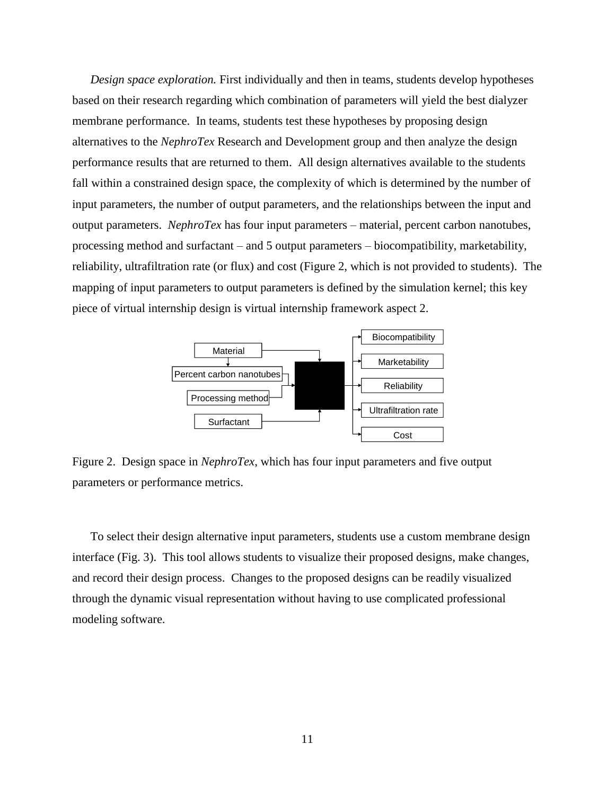*Design space exploration.* First individually and then in teams, students develop hypotheses based on their research regarding which combination of parameters will yield the best dialyzer membrane performance. In teams, students test these hypotheses by proposing design alternatives to the *NephroTex* Research and Development group and then analyze the design performance results that are returned to them. All design alternatives available to the students fall within a constrained design space, the complexity of which is determined by the number of input parameters, the number of output parameters, and the relationships between the input and output parameters. *NephroTex* has four input parameters – material, percent carbon nanotubes, processing method and surfactant – and 5 output parameters – biocompatibility, marketability, reliability, ultrafiltration rate (or flux) and cost (Figure 2, which is not provided to students). The mapping of input parameters to output parameters is defined by the simulation kernel; this key piece of virtual internship design is virtual internship framework aspect 2.



Figure 2. Design space in *NephroTex*, which has four input parameters and five output parameters or performance metrics.

To select their design alternative input parameters, students use a custom membrane design interface (Fig. 3). This tool allows students to visualize their proposed designs, make changes, and record their design process. Changes to the proposed designs can be readily visualized through the dynamic visual representation without having to use complicated professional modeling software.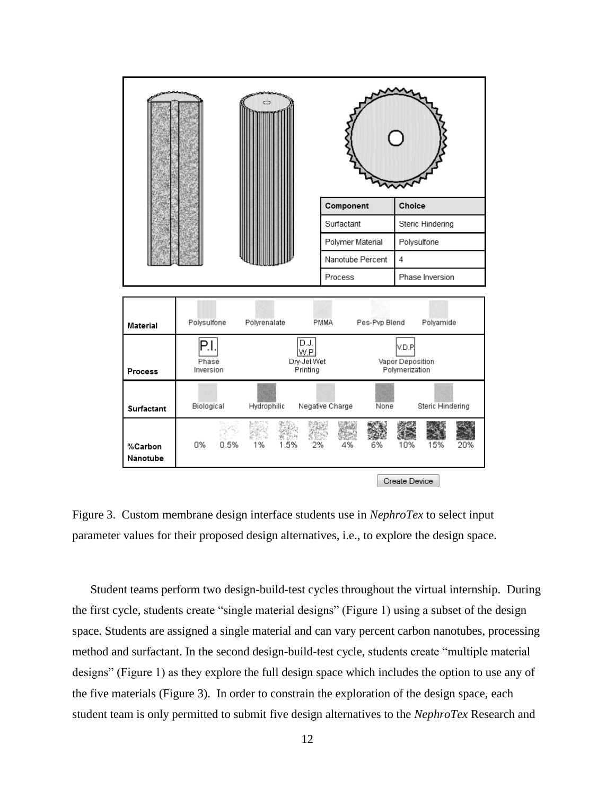

Figure 3. Custom membrane design interface students use in *NephroTex* to select input parameter values for their proposed design alternatives, i.e., to explore the design space.

Student teams perform two design-build-test cycles throughout the virtual internship. During the first cycle, students create "single material designs" (Figure 1) using a subset of the design space. Students are assigned a single material and can vary percent carbon nanotubes, processing method and surfactant. In the second design-build-test cycle, students create "multiple material designs" (Figure 1) as they explore the full design space which includes the option to use any of the five materials (Figure 3). In order to constrain the exploration of the design space, each student team is only permitted to submit five design alternatives to the *NephroTex* Research and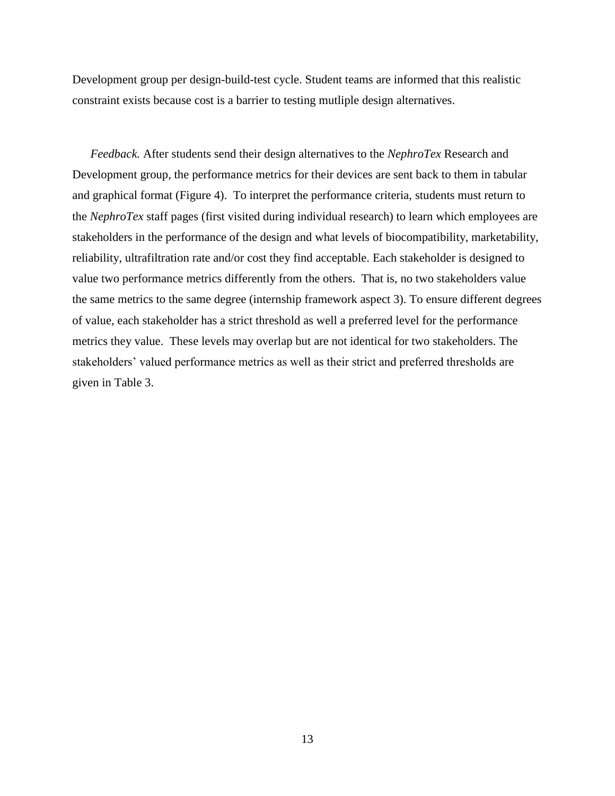Development group per design-build-test cycle. Student teams are informed that this realistic constraint exists because cost is a barrier to testing mutliple design alternatives.

*Feedback.* After students send their design alternatives to the *NephroTex* Research and Development group, the performance metrics for their devices are sent back to them in tabular and graphical format (Figure 4). To interpret the performance criteria, students must return to the *NephroTex* staff pages (first visited during individual research) to learn which employees are stakeholders in the performance of the design and what levels of biocompatibility, marketability, reliability, ultrafiltration rate and/or cost they find acceptable. Each stakeholder is designed to value two performance metrics differently from the others. That is, no two stakeholders value the same metrics to the same degree (internship framework aspect 3). To ensure different degrees of value, each stakeholder has a strict threshold as well a preferred level for the performance metrics they value. These levels may overlap but are not identical for two stakeholders. The stakeholders' valued performance metrics as well as their strict and preferred thresholds are given in Table 3.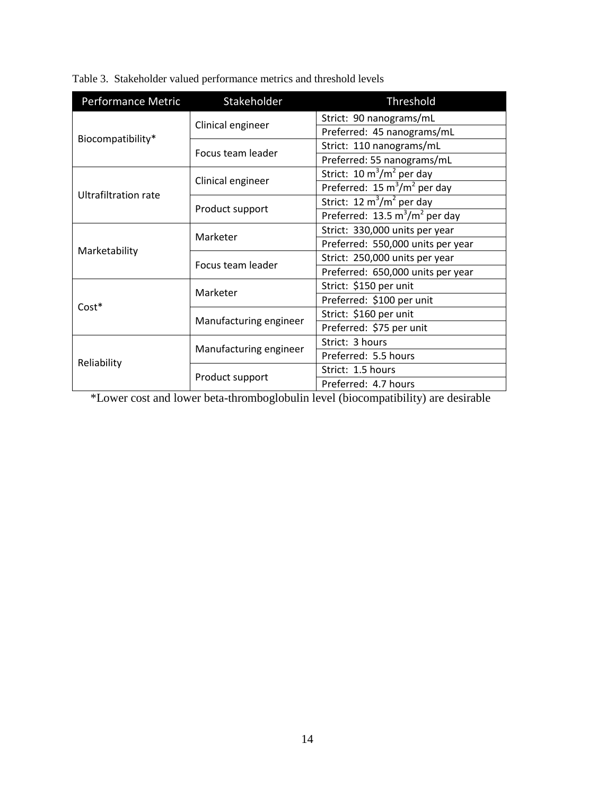Table 3. Stakeholder valued performance metrics and threshold levels

| Performance Metric   | Stakeholder            | Threshold                                        |  |  |  |
|----------------------|------------------------|--------------------------------------------------|--|--|--|
|                      |                        | Strict: 90 nanograms/mL                          |  |  |  |
| Biocompatibility*    | Clinical engineer      | Preferred: 45 nanograms/mL                       |  |  |  |
|                      | Focus team leader      | Strict: 110 nanograms/mL                         |  |  |  |
|                      |                        | Preferred: 55 nanograms/mL                       |  |  |  |
|                      |                        | Strict: $10 \text{ m}^3/\text{m}^2$ per day      |  |  |  |
| Ultrafiltration rate | Clinical engineer      | Preferred: $15 \text{ m}^3/\text{m}^2$ per day   |  |  |  |
|                      |                        | Strict: 12 $m^3/m^2$ per day                     |  |  |  |
|                      | Product support        | Preferred: $13.5 \text{ m}^3/\text{m}^2$ per day |  |  |  |
| Marketability        | Marketer               | Strict: 330,000 units per year                   |  |  |  |
|                      |                        | Preferred: 550,000 units per year                |  |  |  |
|                      | Focus team leader      | Strict: 250,000 units per year                   |  |  |  |
|                      |                        | Preferred: 650,000 units per year                |  |  |  |
|                      | Marketer               | Strict: \$150 per unit                           |  |  |  |
| $Cost*$              |                        | Preferred: \$100 per unit                        |  |  |  |
|                      | Manufacturing engineer | Strict: \$160 per unit                           |  |  |  |
|                      |                        | Preferred: \$75 per unit                         |  |  |  |
|                      | Manufacturing engineer | Strict: 3 hours                                  |  |  |  |
|                      |                        | Preferred: 5.5 hours                             |  |  |  |
| Reliability          |                        | Strict: 1.5 hours                                |  |  |  |
|                      | Product support        | Preferred: 4.7 hours                             |  |  |  |

\*Lower cost and lower beta-thromboglobulin level (biocompatibility) are desirable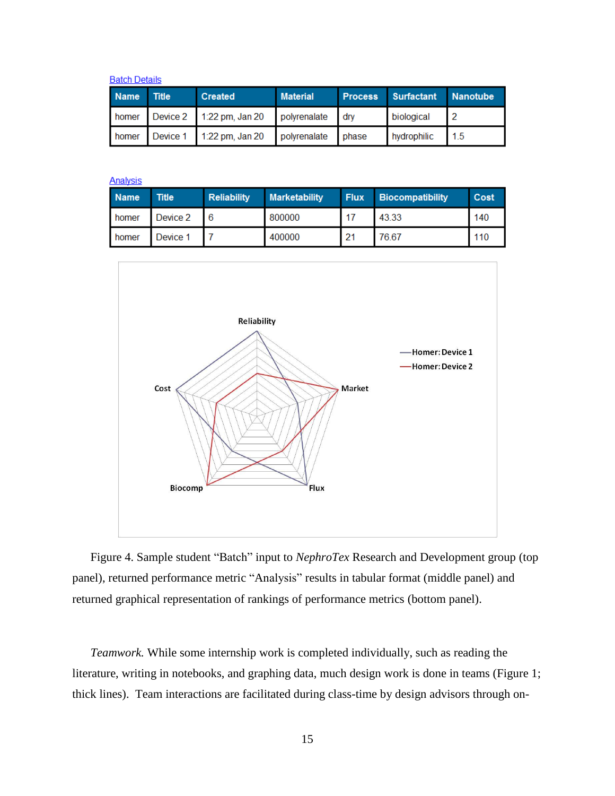**Batch Details** 

| Name Title | <b>Created</b>                                    | <b>Material</b> | Process Surfactant Nanotube |      |  |
|------------|---------------------------------------------------|-----------------|-----------------------------|------|--|
|            | homer Device 2 1:22 pm, Jan 20 polyrenalate dry   |                 | biological                  |      |  |
|            | homer Device 1 1:22 pm, Jan 20 polyrenalate phase |                 | hydrophilic                 | 11.5 |  |

**Analysis** 

| <b>Name</b> | <b>Title</b> | <b>Reliability</b> | <b>Marketability</b> | <b>Flux</b> | <b>Biocompatibility</b> | Cost |
|-------------|--------------|--------------------|----------------------|-------------|-------------------------|------|
| homer       | Device 2     |                    | 800000               |             | 43.33                   | 140  |
| homer       | Device 1     |                    | 400000               | 21          | 76.67                   | 110  |



Figure 4. Sample student "Batch" input to *NephroTex* Research and Development group (top panel), returned performance metric "Analysis" results in tabular format (middle panel) and returned graphical representation of rankings of performance metrics (bottom panel).

*Teamwork.* While some internship work is completed individually, such as reading the literature, writing in notebooks, and graphing data, much design work is done in teams (Figure 1; thick lines). Team interactions are facilitated during class-time by design advisors through on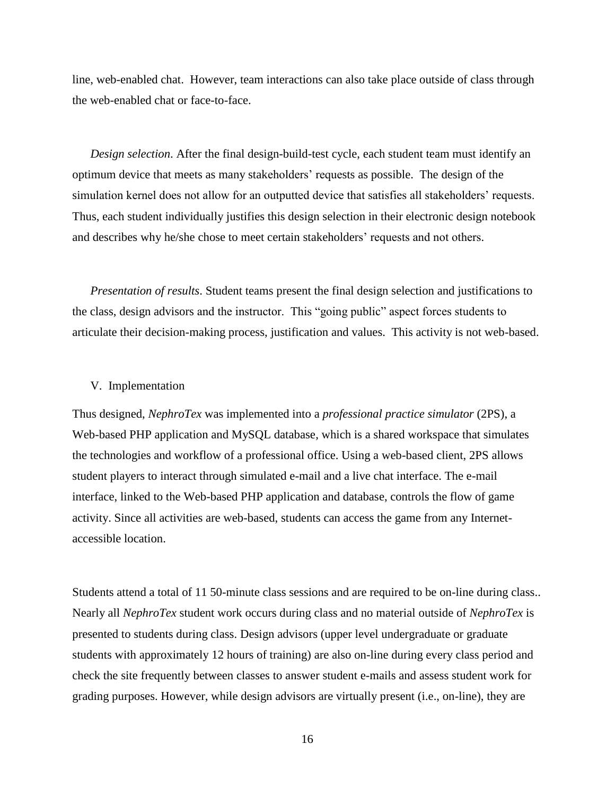line, web-enabled chat. However, team interactions can also take place outside of class through the web-enabled chat or face-to-face.

*Design selection*. After the final design-build-test cycle, each student team must identify an optimum device that meets as many stakeholders' requests as possible. The design of the simulation kernel does not allow for an outputted device that satisfies all stakeholders' requests. Thus, each student individually justifies this design selection in their electronic design notebook and describes why he/she chose to meet certain stakeholders' requests and not others.

*Presentation of results*. Student teams present the final design selection and justifications to the class, design advisors and the instructor. This "going public" aspect forces students to articulate their decision-making process, justification and values. This activity is not web-based.

#### V. Implementation

Thus designed, *NephroTex* was implemented into a *professional practice simulator* (2PS), a Web-based PHP application and MySQL database, which is a shared workspace that simulates the technologies and workflow of a professional office. Using a web-based client, 2PS allows student players to interact through simulated e-mail and a live chat interface. The e-mail interface, linked to the Web-based PHP application and database, controls the flow of game activity. Since all activities are web-based, students can access the game from any Internetaccessible location.

Students attend a total of 11 50-minute class sessions and are required to be on-line during class.. Nearly all *NephroTex* student work occurs during class and no material outside of *NephroTex* is presented to students during class. Design advisors (upper level undergraduate or graduate students with approximately 12 hours of training) are also on-line during every class period and check the site frequently between classes to answer student e-mails and assess student work for grading purposes. However, while design advisors are virtually present (i.e., on-line), they are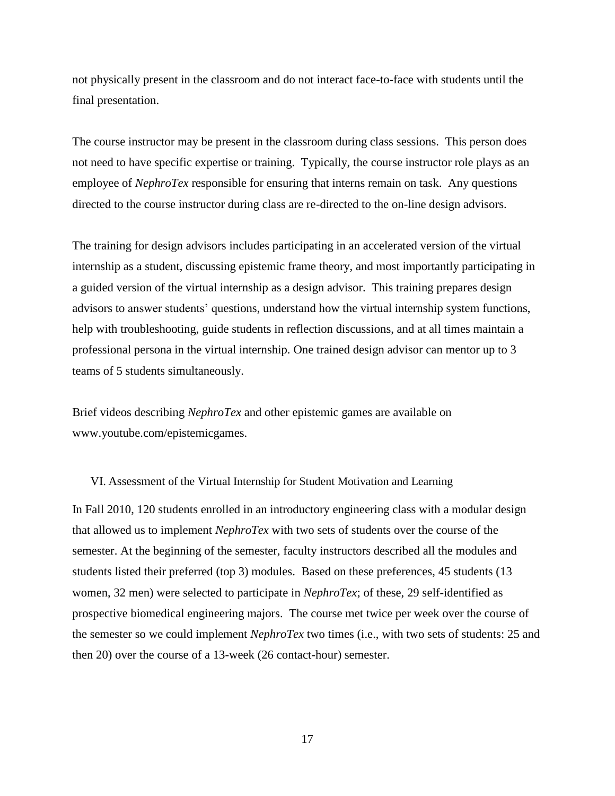not physically present in the classroom and do not interact face-to-face with students until the final presentation.

The course instructor may be present in the classroom during class sessions. This person does not need to have specific expertise or training. Typically, the course instructor role plays as an employee of *NephroTex* responsible for ensuring that interns remain on task. Any questions directed to the course instructor during class are re-directed to the on-line design advisors.

The training for design advisors includes participating in an accelerated version of the virtual internship as a student, discussing epistemic frame theory, and most importantly participating in a guided version of the virtual internship as a design advisor. This training prepares design advisors to answer students' questions, understand how the virtual internship system functions, help with troubleshooting, guide students in reflection discussions, and at all times maintain a professional persona in the virtual internship. One trained design advisor can mentor up to 3 teams of 5 students simultaneously.

Brief videos describing *NephroTex* and other epistemic games are available on www.youtube.com/epistemicgames.

#### VI. Assessment of the Virtual Internship for Student Motivation and Learning

In Fall 2010, 120 students enrolled in an introductory engineering class with a modular design that allowed us to implement *NephroTex* with two sets of students over the course of the semester. At the beginning of the semester, faculty instructors described all the modules and students listed their preferred (top 3) modules. Based on these preferences, 45 students (13 women, 32 men) were selected to participate in *NephroTex*; of these, 29 self-identified as prospective biomedical engineering majors. The course met twice per week over the course of the semester so we could implement *NephroTex* two times (i.e., with two sets of students: 25 and then 20) over the course of a 13-week (26 contact-hour) semester.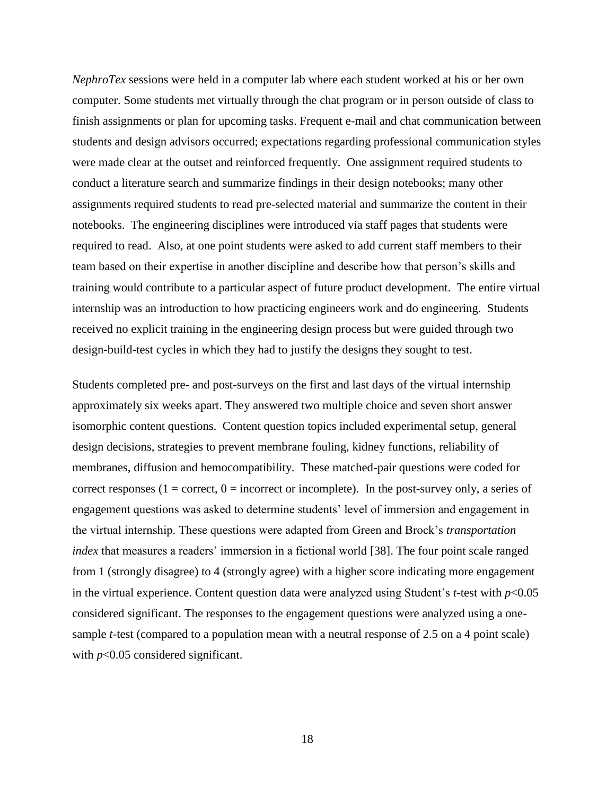*NephroTex* sessions were held in a computer lab where each student worked at his or her own computer. Some students met virtually through the chat program or in person outside of class to finish assignments or plan for upcoming tasks. Frequent e-mail and chat communication between students and design advisors occurred; expectations regarding professional communication styles were made clear at the outset and reinforced frequently. One assignment required students to conduct a literature search and summarize findings in their design notebooks; many other assignments required students to read pre-selected material and summarize the content in their notebooks. The engineering disciplines were introduced via staff pages that students were required to read. Also, at one point students were asked to add current staff members to their team based on their expertise in another discipline and describe how that person's skills and training would contribute to a particular aspect of future product development. The entire virtual internship was an introduction to how practicing engineers work and do engineering. Students received no explicit training in the engineering design process but were guided through two design-build-test cycles in which they had to justify the designs they sought to test.

Students completed pre- and post-surveys on the first and last days of the virtual internship approximately six weeks apart. They answered two multiple choice and seven short answer isomorphic content questions. Content question topics included experimental setup, general design decisions, strategies to prevent membrane fouling, kidney functions, reliability of membranes, diffusion and hemocompatibility. These matched-pair questions were coded for correct responses ( $1 =$  correct,  $0 =$  incorrect or incomplete). In the post-survey only, a series of engagement questions was asked to determine students' level of immersion and engagement in the virtual internship. These questions were adapted from Green and Brock's *transportation index* that measures a readers' immersion in a fictional world [\[38\]](#page-24-0). The four point scale ranged from 1 (strongly disagree) to 4 (strongly agree) with a higher score indicating more engagement in the virtual experience. Content question data were analyzed using Student's *t*-test with *p*<0.05 considered significant. The responses to the engagement questions were analyzed using a onesample *t*-test (compared to a population mean with a neutral response of 2.5 on a 4 point scale) with *p*<0.05 considered significant.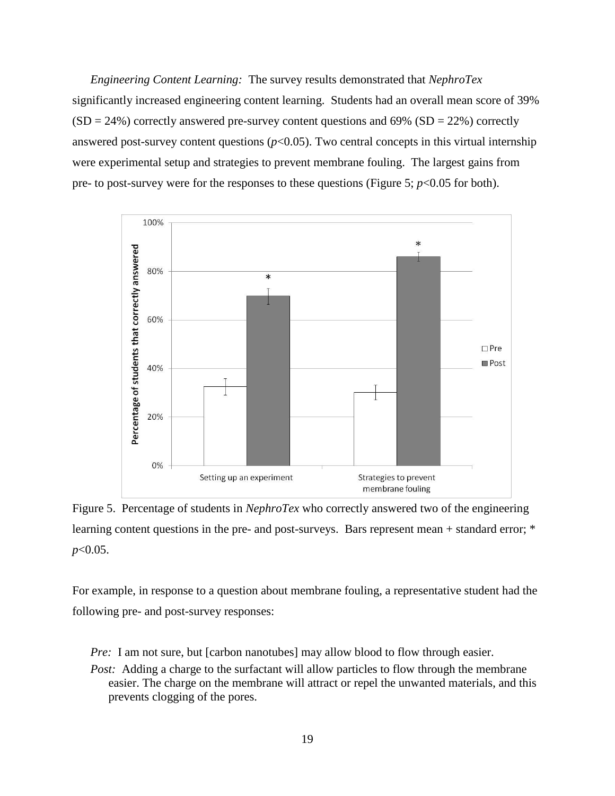*Engineering Content Learning:* The survey results demonstrated that *NephroTex*  significantly increased engineering content learning. Students had an overall mean score of 39%  $(SD = 24\%)$  correctly answered pre-survey content questions and 69%  $(SD = 22\%)$  correctly answered post-survey content questions  $(p<0.05)$ . Two central concepts in this virtual internship were experimental setup and strategies to prevent membrane fouling. The largest gains from pre- to post-survey were for the responses to these questions (Figure 5;  $p < 0.05$  for both).



Figure 5. Percentage of students in *NephroTex* who correctly answered two of the engineering learning content questions in the pre- and post-surveys. Bars represent mean + standard error; \* *p*<0.05.

For example, in response to a question about membrane fouling, a representative student had the following pre- and post-survey responses:

*Pre:* I am not sure, but [carbon nanotubes] may allow blood to flow through easier.

*Post:* Adding a charge to the surfactant will allow particles to flow through the membrane easier. The charge on the membrane will attract or repel the unwanted materials, and this prevents clogging of the pores.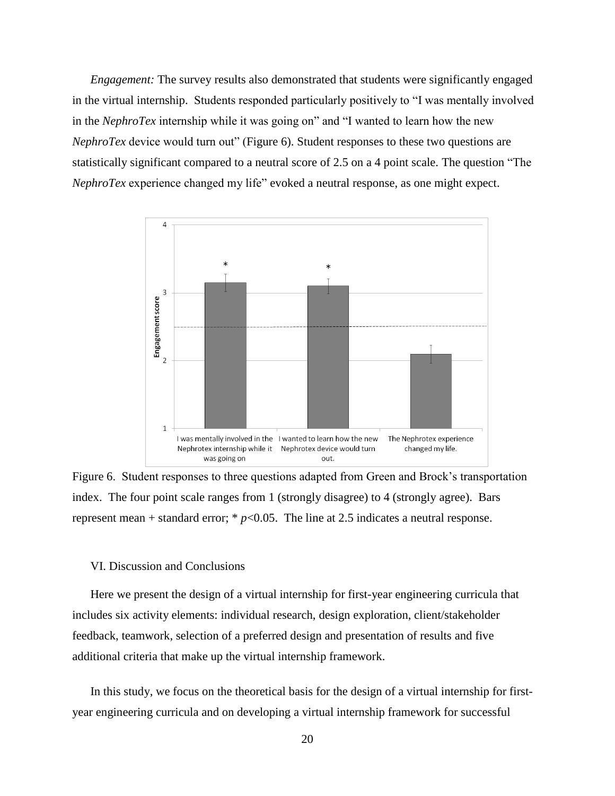*Engagement:* The survey results also demonstrated that students were significantly engaged in the virtual internship. Students responded particularly positively to "I was mentally involved in the *NephroTex* internship while it was going on" and "I wanted to learn how the new *NephroTex* device would turn out" (Figure 6). Student responses to these two questions are statistically significant compared to a neutral score of 2.5 on a 4 point scale. The question "The *NephroTex* experience changed my life" evoked a neutral response, as one might expect.



Figure 6. Student responses to three questions adapted from Green and Brock's transportation index. The four point scale ranges from 1 (strongly disagree) to 4 (strongly agree). Bars represent mean + standard error;  $* p<0.05$ . The line at 2.5 indicates a neutral response.

#### VI. Discussion and Conclusions

Here we present the design of a virtual internship for first-year engineering curricula that includes six activity elements: individual research, design exploration, client/stakeholder feedback, teamwork, selection of a preferred design and presentation of results and five additional criteria that make up the virtual internship framework.

In this study, we focus on the theoretical basis for the design of a virtual internship for firstyear engineering curricula and on developing a virtual internship framework for successful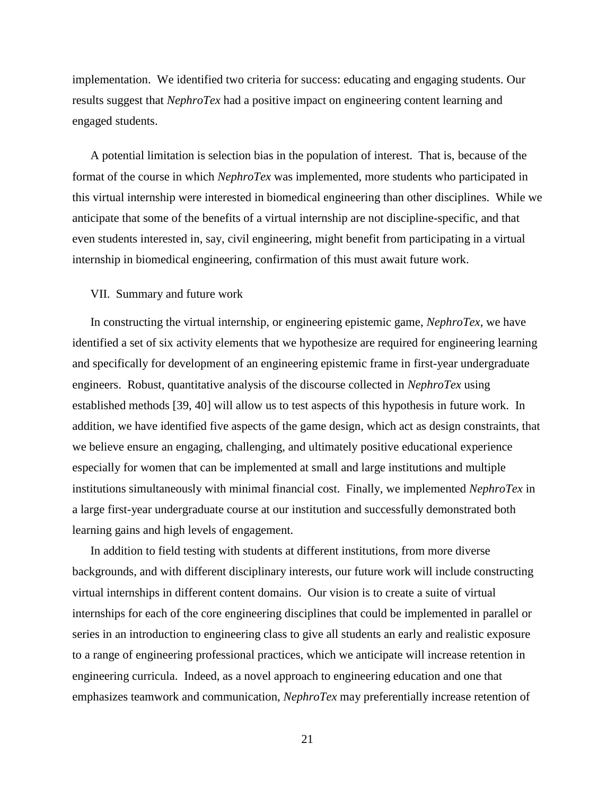implementation. We identified two criteria for success: educating and engaging students. Our results suggest that *NephroTex* had a positive impact on engineering content learning and engaged students.

A potential limitation is selection bias in the population of interest. That is, because of the format of the course in which *NephroTex* was implemented, more students who participated in this virtual internship were interested in biomedical engineering than other disciplines. While we anticipate that some of the benefits of a virtual internship are not discipline-specific, and that even students interested in, say, civil engineering, might benefit from participating in a virtual internship in biomedical engineering, confirmation of this must await future work.

### VII. Summary and future work

In constructing the virtual internship, or engineering epistemic game, *NephroTex*, we have identified a set of six activity elements that we hypothesize are required for engineering learning and specifically for development of an engineering epistemic frame in first-year undergraduate engineers. Robust, quantitative analysis of the discourse collected in *NephroTex* using established methods [39, 40] will allow us to test aspects of this hypothesis in future work. In addition, we have identified five aspects of the game design, which act as design constraints, that we believe ensure an engaging, challenging, and ultimately positive educational experience especially for women that can be implemented at small and large institutions and multiple institutions simultaneously with minimal financial cost. Finally, we implemented *NephroTex* in a large first-year undergraduate course at our institution and successfully demonstrated both learning gains and high levels of engagement.

In addition to field testing with students at different institutions, from more diverse backgrounds, and with different disciplinary interests, our future work will include constructing virtual internships in different content domains. Our vision is to create a suite of virtual internships for each of the core engineering disciplines that could be implemented in parallel or series in an introduction to engineering class to give all students an early and realistic exposure to a range of engineering professional practices, which we anticipate will increase retention in engineering curricula. Indeed, as a novel approach to engineering education and one that emphasizes teamwork and communication, *NephroTex* may preferentially increase retention of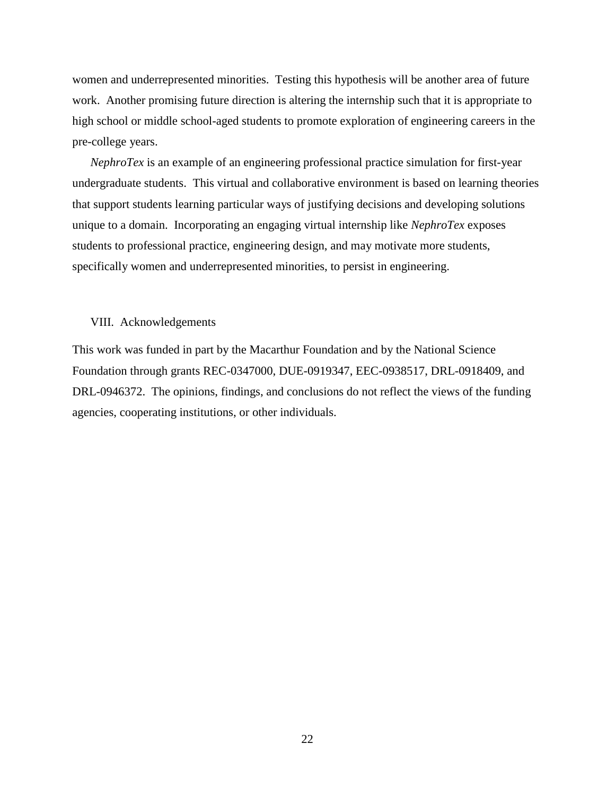women and underrepresented minorities. Testing this hypothesis will be another area of future work. Another promising future direction is altering the internship such that it is appropriate to high school or middle school-aged students to promote exploration of engineering careers in the pre-college years.

*NephroTex* is an example of an engineering professional practice simulation for first-year undergraduate students. This virtual and collaborative environment is based on learning theories that support students learning particular ways of justifying decisions and developing solutions unique to a domain. Incorporating an engaging virtual internship like *NephroTex* exposes students to professional practice, engineering design, and may motivate more students, specifically women and underrepresented minorities, to persist in engineering.

#### VIII. Acknowledgements

This work was funded in part by the Macarthur Foundation and by the National Science Foundation through grants REC-0347000, DUE-0919347, EEC-0938517, DRL-0918409, and DRL-0946372. The opinions, findings, and conclusions do not reflect the views of the funding agencies, cooperating institutions, or other individuals.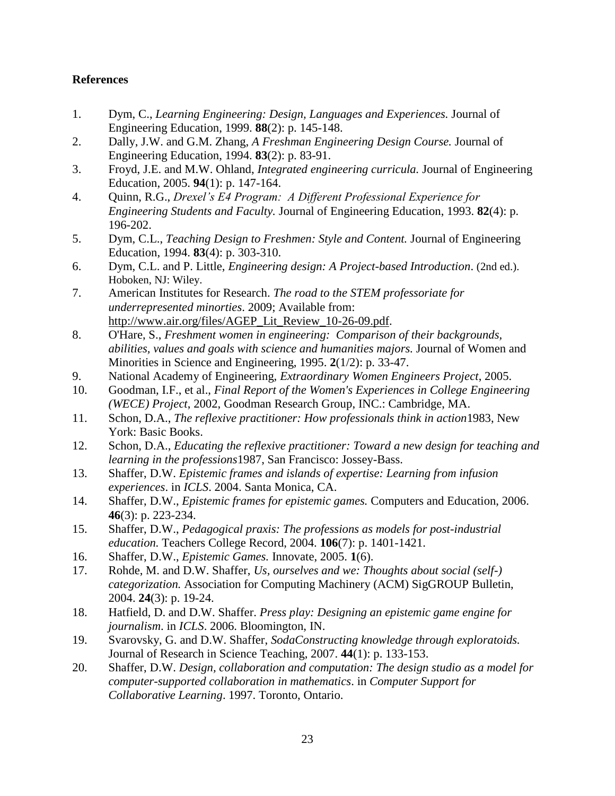## **References**

- <span id="page-22-0"></span>1. Dym, C., *Learning Engineering: Design, Languages and Experiences.* Journal of Engineering Education, 1999. **88**(2): p. 145-148.
- <span id="page-22-1"></span>2. Dally, J.W. and G.M. Zhang, *A Freshman Engineering Design Course.* Journal of Engineering Education, 1994. **83**(2): p. 83-91.
- 3. Froyd, J.E. and M.W. Ohland, *Integrated engineering curricula.* Journal of Engineering Education, 2005. **94**(1): p. 147-164.
- 4. Quinn, R.G., *Drexel's E4 Program: A Different Professional Experience for Engineering Students and Faculty.* Journal of Engineering Education, 1993. **82**(4): p. 196-202.
- <span id="page-22-2"></span>5. Dym, C.L., *Teaching Design to Freshmen: Style and Content.* Journal of Engineering Education, 1994. **83**(4): p. 303-310.
- <span id="page-22-4"></span><span id="page-22-3"></span>6. Dym, C.L. and P. Little, *Engineering design: A Project-based Introduction*. (2nd ed.). Hoboken, NJ: Wiley.
- 7. American Institutes for Research. *The road to the STEM professoriate for underrepresented minorties*. 2009; Available from: [http://www.air.org/files/AGEP\\_Lit\\_Review\\_10-26-09.pdf.](http://www.air.org/files/AGEP_Lit_Review_10-26-09.pdf)
- <span id="page-22-5"></span>8. O'Hare, S., *Freshment women in engineering: Comparison of their backgrounds, abilities, values and goals with science and humanities majors.* Journal of Women and Minorities in Science and Engineering, 1995. **2**(1/2): p. 33-47.
- <span id="page-22-6"></span>9. National Academy of Engineering, *Extraordinary Women Engineers Project*, 2005.
- <span id="page-22-7"></span>10. Goodman, I.F., et al., *Final Report of the Women's Experiences in College Engineering (WECE) Project*, 2002, Goodman Research Group, INC.: Cambridge, MA.
- <span id="page-22-8"></span>11. Schon, D.A., *The reflexive practitioner: How professionals think in action*1983, New York: Basic Books.
- <span id="page-22-13"></span>12. Schon, D.A., *Educating the reflexive practitioner: Toward a new design for teaching and learning in the professions*1987, San Francisco: Jossey-Bass.
- 13. Shaffer, D.W. *Epistemic frames and islands of expertise: Learning from infusion experiences*. in *ICLS*. 2004. Santa Monica, CA.
- <span id="page-22-9"></span>14. Shaffer, D.W., *Epistemic frames for epistemic games.* Computers and Education, 2006. **46**(3): p. 223-234.
- <span id="page-22-10"></span>15. Shaffer, D.W., *Pedagogical praxis: The professions as models for post-industrial education.* Teachers College Record, 2004. **106**(7): p. 1401-1421.
- <span id="page-22-11"></span>16. Shaffer, D.W., *Epistemic Games.* Innovate, 2005. **1**(6).
- <span id="page-22-14"></span>17. Rohde, M. and D.W. Shaffer, *Us, ourselves and we: Thoughts about social (self-) categorization.* Association for Computing Machinery (ACM) SigGROUP Bulletin, 2004. **24**(3): p. 19-24.
- <span id="page-22-12"></span>18. Hatfield, D. and D.W. Shaffer. *Press play: Designing an epistemic game engine for journalism*. in *ICLS*. 2006. Bloomington, IN.
- <span id="page-22-15"></span>19. Svarovsky, G. and D.W. Shaffer, *SodaConstructing knowledge through exploratoids.* Journal of Research in Science Teaching, 2007. **44**(1): p. 133-153.
- 20. Shaffer, D.W. *Design, collaboration and computation: The design studio as a model for computer-supported collaboration in mathematics*. in *Computer Support for Collaborative Learning*. 1997. Toronto, Ontario.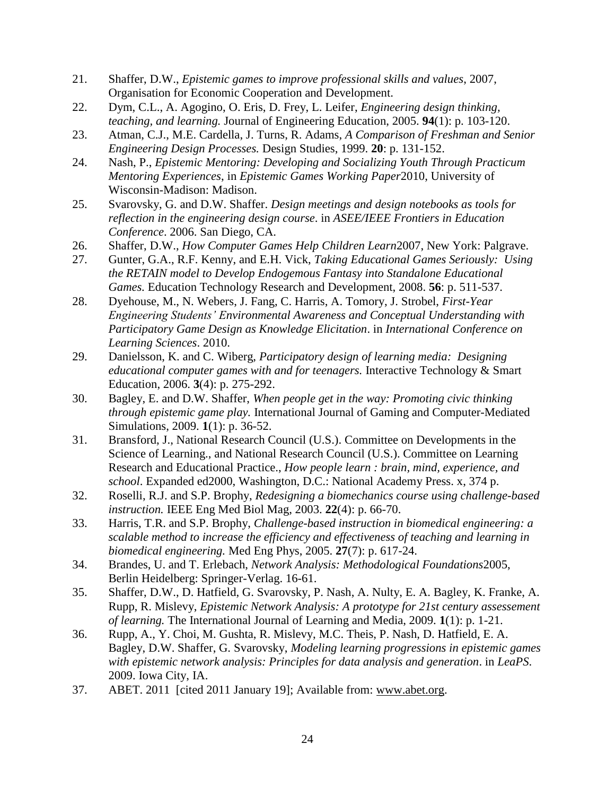- 21. Shaffer, D.W., *Epistemic games to improve professional skills and values*, 2007, Organisation for Economic Cooperation and Development.
- <span id="page-23-0"></span>22. Dym, C.L., A. Agogino, O. Eris, D. Frey, L. Leifer, *Engineering design thinking, teaching, and learning.* Journal of Engineering Education, 2005. **94**(1): p. 103-120.
- <span id="page-23-1"></span>23. Atman, C.J., M.E. Cardella, J. Turns, R. Adams, *A Comparison of Freshman and Senior Engineering Design Processes.* Design Studies, 1999. **20**: p. 131-152.
- <span id="page-23-2"></span>24. Nash, P., *Epistemic Mentoring: Developing and Socializing Youth Through Practicum Mentoring Experiences*, in *Epistemic Games Working Paper*2010, University of Wisconsin-Madison: Madison.
- <span id="page-23-3"></span>25. Svarovsky, G. and D.W. Shaffer. *Design meetings and design notebooks as tools for reflection in the engineering design course*. in *ASEE/IEEE Frontiers in Education Conference*. 2006. San Diego, CA.
- <span id="page-23-4"></span>26. Shaffer, D.W., *How Computer Games Help Children Learn*2007, New York: Palgrave.
- <span id="page-23-5"></span>27. Gunter, G.A., R.F. Kenny, and E.H. Vick, *Taking Educational Games Seriously: Using the RETAIN model to Develop Endogemous Fantasy into Standalone Educational Games.* Education Technology Research and Development, 2008. **56**: p. 511-537.
- 28. Dyehouse, M., N. Webers, J. Fang, C. Harris, A. Tomory, J. Strobel, *First-Year Engineering Students' Environmental Awareness and Conceptual Understanding with Participatory Game Design as Knowledge Elicitation*. in *International Conference on Learning Sciences*. 2010.
- 29. Danielsson, K. and C. Wiberg, *Participatory design of learning media: Designing educational computer games with and for teenagers.* Interactive Technology & Smart Education, 2006. **3**(4): p. 275-292.
- <span id="page-23-6"></span>30. Bagley, E. and D.W. Shaffer, *When people get in the way: Promoting civic thinking through epistemic game play.* International Journal of Gaming and Computer-Mediated Simulations, 2009. **1**(1): p. 36-52.
- <span id="page-23-7"></span>31. Bransford, J., National Research Council (U.S.). Committee on Developments in the Science of Learning., and National Research Council (U.S.). Committee on Learning Research and Educational Practice., *How people learn : brain, mind, experience, and school*. Expanded ed2000, Washington, D.C.: National Academy Press. x, 374 p.
- <span id="page-23-8"></span>32. Roselli, R.J. and S.P. Brophy, *Redesigning a biomechanics course using challenge-based instruction.* IEEE Eng Med Biol Mag, 2003. **22**(4): p. 66-70.
- <span id="page-23-9"></span>33. Harris, T.R. and S.P. Brophy, *Challenge-based instruction in biomedical engineering: a scalable method to increase the efficiency and effectiveness of teaching and learning in biomedical engineering.* Med Eng Phys, 2005. **27**(7): p. 617-24.
- <span id="page-23-10"></span>34. Brandes, U. and T. Erlebach, *Network Analysis: Methodological Foundations*2005, Berlin Heidelberg: Springer-Verlag. 16-61.
- 35. Shaffer, D.W., D. Hatfield, G. Svarovsky, P. Nash, A. Nulty, E. A. Bagley, K. Franke, A. Rupp, R. Mislevy, *Epistemic Network Analysis: A prototype for 21st century assessement of learning.* The International Journal of Learning and Media, 2009. **1**(1): p. 1-21.
- 36. Rupp, A., Y. Choi, M. Gushta, R. Mislevy, M.C. Theis, P. Nash, D. Hatfield, E. A. Bagley, D.W. Shaffer, G. Svarovsky, *Modeling learning progressions in epistemic games with epistemic network analysis: Principles for data analysis and generation*. in *LeaPS*. 2009. Iowa City, IA.
- <span id="page-23-11"></span>37. ABET. 2011 [cited 2011 January 19]; Available from: [www.abet.org.](http://www.abet.org/)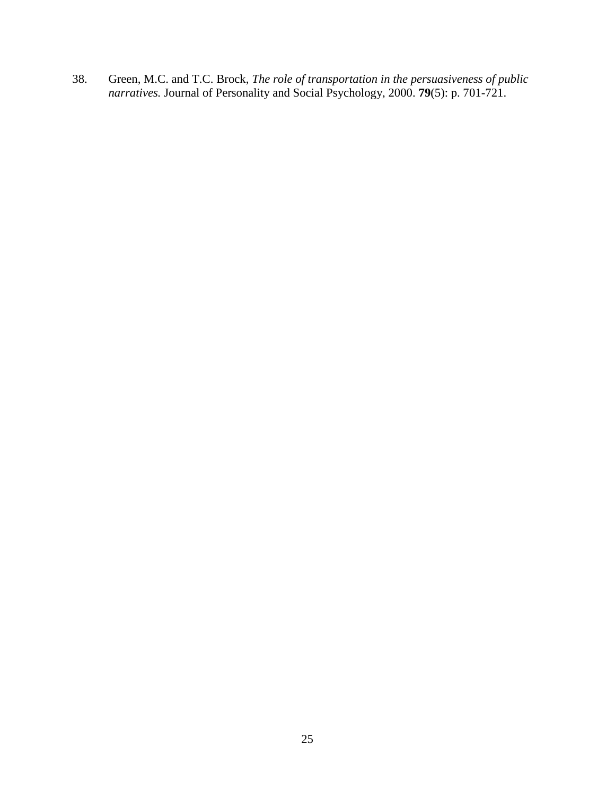<span id="page-24-0"></span>38. Green, M.C. and T.C. Brock, *The role of transportation in the persuasiveness of public narratives.* Journal of Personality and Social Psychology, 2000. **79**(5): p. 701-721.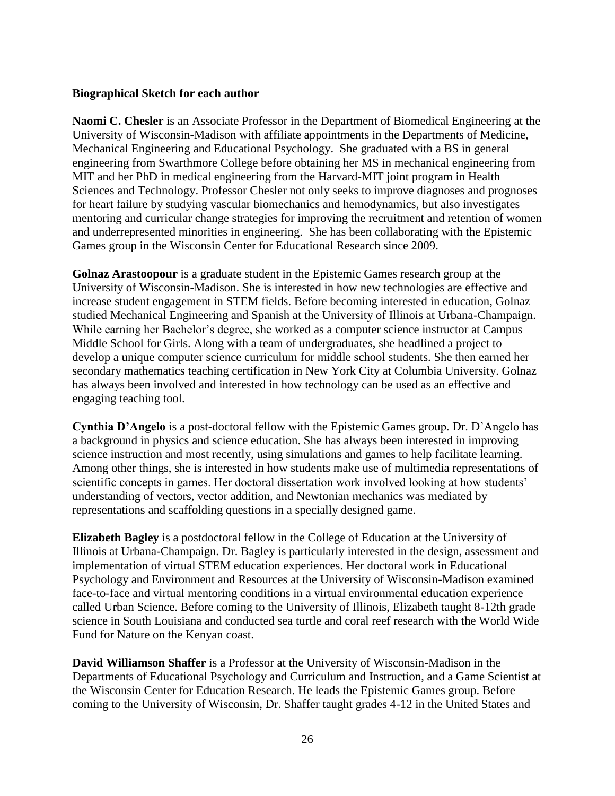### **Biographical Sketch for each author**

**Naomi C. Chesler** is an Associate Professor in the Department of Biomedical Engineering at the University of Wisconsin-Madison with affiliate appointments in the Departments of Medicine, Mechanical Engineering and Educational Psychology. She graduated with a BS in general engineering from Swarthmore College before obtaining her MS in mechanical engineering from MIT and her PhD in medical engineering from the Harvard-MIT joint program in Health Sciences and Technology. Professor Chesler not only seeks to improve diagnoses and prognoses for heart failure by studying vascular biomechanics and hemodynamics, but also investigates mentoring and curricular change strategies for improving the recruitment and retention of women and underrepresented minorities in engineering. She has been collaborating with the Epistemic Games group in the Wisconsin Center for Educational Research since 2009.

**Golnaz Arastoopour** is a graduate student in the Epistemic Games research group at the University of Wisconsin-Madison. She is interested in how new technologies are effective and increase student engagement in STEM fields. Before becoming interested in education, Golnaz studied Mechanical Engineering and Spanish at the University of Illinois at Urbana-Champaign. While earning her Bachelor's degree, she worked as a computer science instructor at Campus Middle School for Girls. Along with a team of undergraduates, she headlined a project to develop a unique computer science curriculum for middle school students. She then earned her secondary mathematics teaching certification in New York City at Columbia University. Golnaz has always been involved and interested in how technology can be used as an effective and engaging teaching tool.

**Cynthia D'Angelo** is a post-doctoral fellow with the Epistemic Games group. Dr. D'Angelo has a background in physics and science education. She has always been interested in improving science instruction and most recently, using simulations and games to help facilitate learning. Among other things, she is interested in how students make use of multimedia representations of scientific concepts in games. Her doctoral dissertation work involved looking at how students' understanding of vectors, vector addition, and Newtonian mechanics was mediated by representations and scaffolding questions in a specially designed game.

**Elizabeth Bagley** is a postdoctoral fellow in the College of Education at the University of Illinois at Urbana-Champaign. Dr. Bagley is particularly interested in the design, assessment and implementation of virtual STEM education experiences. Her doctoral work in Educational Psychology and Environment and Resources at the University of Wisconsin-Madison examined face-to-face and virtual mentoring conditions in a virtual environmental education experience called Urban Science. Before coming to the University of Illinois, Elizabeth taught 8-12th grade science in South Louisiana and conducted sea turtle and coral reef research with the World Wide Fund for Nature on the Kenyan coast.

**David Williamson Shaffer** is a Professor at the University of Wisconsin-Madison in the Departments of Educational Psychology and Curriculum and Instruction, and a Game Scientist at the Wisconsin Center for Education Research. He leads the Epistemic Games group. Before coming to the University of Wisconsin, Dr. Shaffer taught grades 4-12 in the United States and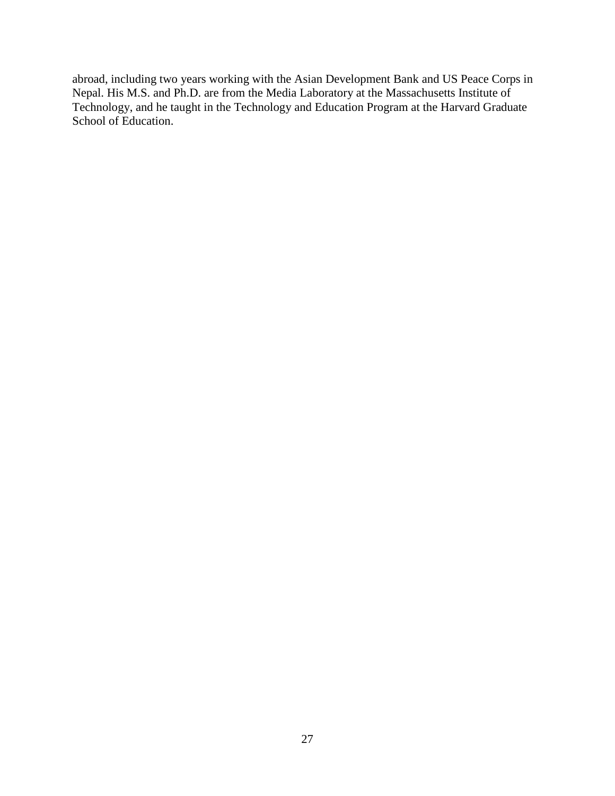abroad, including two years working with the Asian Development Bank and US Peace Corps in Nepal. His M.S. and Ph.D. are from the Media Laboratory at the Massachusetts Institute of Technology, and he taught in the Technology and Education Program at the Harvard Graduate School of Education.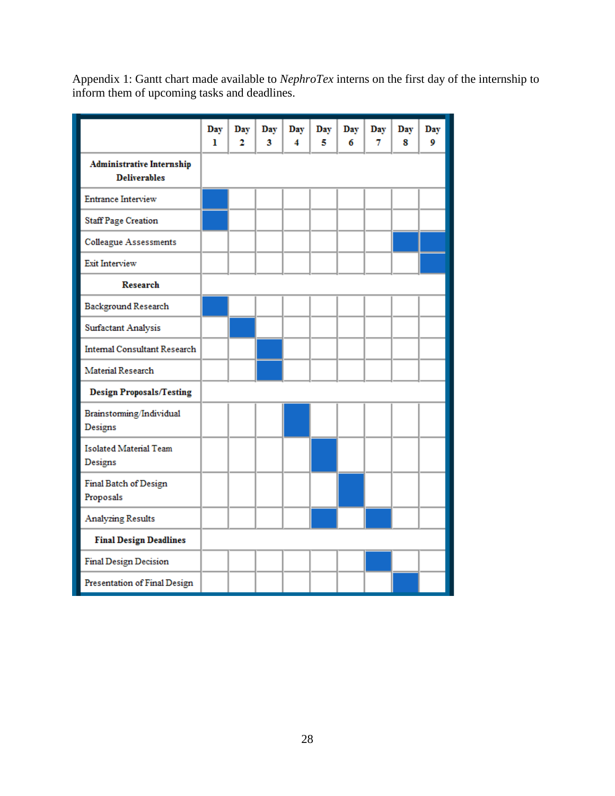Appendix 1: Gantt chart made available to *NephroTex* interns on the first day of the internship to inform them of upcoming tasks and deadlines.

|                                                         | Day<br>ı | Day<br>2 | Day<br>3 | Day<br>4 | Day<br>5 | Day<br>6 | Day<br>7 | Day<br>8 | Day<br>9 |
|---------------------------------------------------------|----------|----------|----------|----------|----------|----------|----------|----------|----------|
| <b>Administrative Internship</b><br><b>Deliverables</b> |          |          |          |          |          |          |          |          |          |
| <b>Entrance Interview</b>                               |          |          |          |          |          |          |          |          |          |
| <b>Staff Page Creation</b>                              |          |          |          |          |          |          |          |          |          |
| <b>Colleague Assessments</b>                            |          |          |          |          |          |          |          |          |          |
| <b>Exit Interview</b>                                   |          |          |          |          |          |          |          |          |          |
| <b>Research</b>                                         |          |          |          |          |          |          |          |          |          |
| Background Research                                     |          |          |          |          |          |          |          |          |          |
| <b>Surfactant Analysis</b>                              |          |          |          |          |          |          |          |          |          |
| <b>Internal Consultant Research</b>                     |          |          |          |          |          |          |          |          |          |
| Material Research                                       |          |          |          |          |          |          |          |          |          |
| <b>Design Proposals/Testing</b>                         |          |          |          |          |          |          |          |          |          |
| Brainstorming/Individual<br>Designs                     |          |          |          |          |          |          |          |          |          |
| <b>Isolated Material Team</b><br>Designs                |          |          |          |          |          |          |          |          |          |
| Final Batch of Design<br>Proposals                      |          |          |          |          |          |          |          |          |          |
| <b>Analyzing Results</b>                                |          |          |          |          |          |          |          |          |          |
| <b>Final Design Deadlines</b>                           |          |          |          |          |          |          |          |          |          |
| Final Design Decision                                   |          |          |          |          |          |          |          |          |          |
| Presentation of Final Design                            |          |          |          |          |          |          |          |          |          |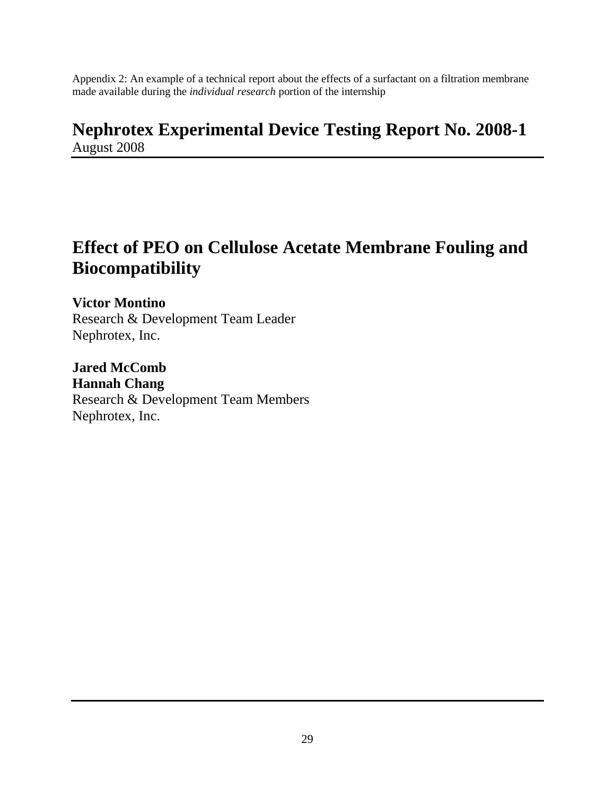Appendix 2: An example of a technical report about the effects of a surfactant on a filtration membrane made available during the *individual research* portion of the internship

# **Nephrotex Experimental Device Testing Report No. 2008-1** August 2008

# **Effect of PEO on Cellulose Acetate Membrane Fouling and Biocompatibility**

**Victor Montino** Research & Development Team Leader Nephrotex, Inc.

**Jared McComb Hannah Chang** Research & Development Team Members Nephrotex, Inc.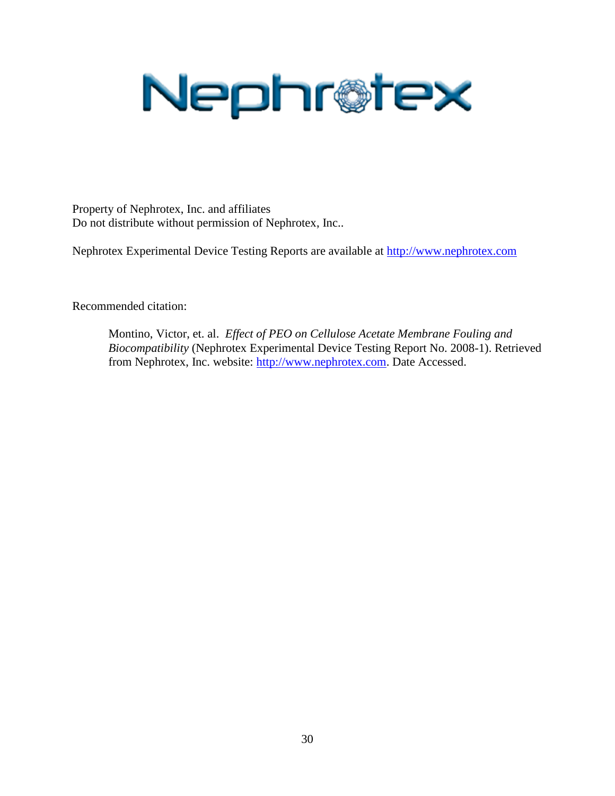

Property of Nephrotex, Inc. and affiliates Do not distribute without permission of Nephrotex, Inc..

Nephrotex Experimental Device Testing Reports are available at [http://www.nephrotex.com](http://www.nephrotex.com/)

Recommended citation:

Montino, Victor, et. al. *Effect of PEO on Cellulose Acetate Membrane Fouling and Biocompatibility* (Nephrotex Experimental Device Testing Report No. 2008-1). Retrieved from Nephrotex, Inc. website: [http://www.nephrotex.com.](http://www.nephrotex.com/) Date Accessed.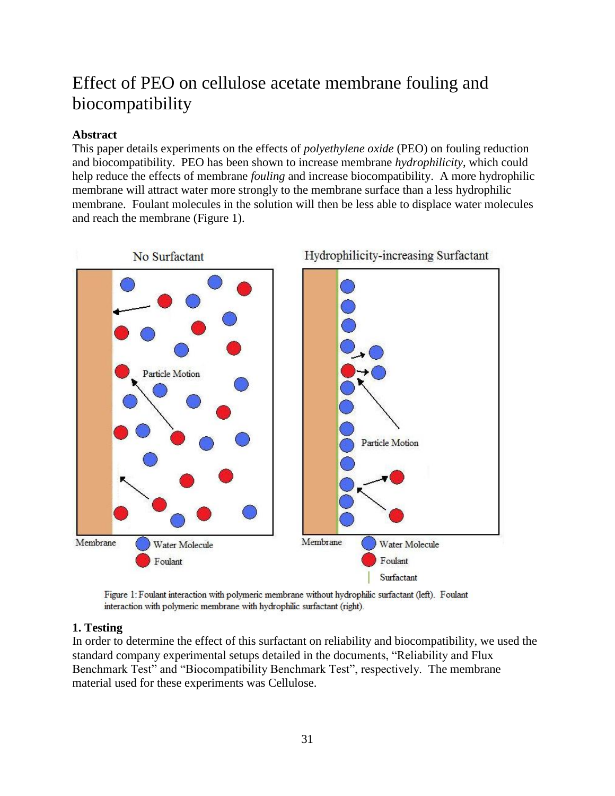# Effect of PEO on cellulose acetate membrane fouling and biocompatibility

## **Abstract**

This paper details experiments on the effects of *polyethylene oxide* (PEO) on fouling reduction and biocompatibility. PEO has been shown to increase membrane *hydrophilicity*, which could help reduce the effects of membrane *fouling* and increase biocompatibility. A more hydrophilic membrane will attract water more strongly to the membrane surface than a less hydrophilic membrane. Foulant molecules in the solution will then be less able to displace water molecules and reach the membrane (Figure 1).



Figure 1: Foulant interaction with polymeric membrane without hydrophilic surfactant (left). Foulant interaction with polymeric membrane with hydrophilic surfactant (right).

## **1. Testing**

In order to determine the effect of this surfactant on reliability and biocompatibility, we used the standard company experimental setups detailed in the documents, "Reliability and Flux Benchmark Test" and "Biocompatibility Benchmark Test", respectively. The membrane material used for these experiments was Cellulose.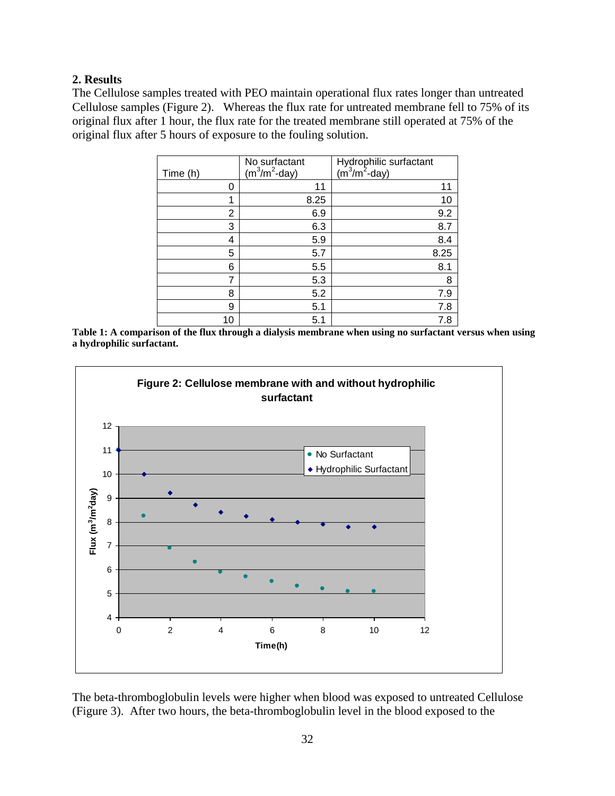### **2. Results**

The Cellulose samples treated with PEO maintain operational flux rates longer than untreated Cellulose samples (Figure 2). Whereas the flux rate for untreated membrane fell to 75% of its original flux after 1 hour, the flux rate for the treated membrane still operated at 75% of the original flux after 5 hours of exposure to the fouling solution.

| Time (h) | No surfactant<br>$(m^3/m^2$ -day) | Hydrophilic surfactant<br>(m <sup>3</sup> /m <sup>2</sup> -day) |
|----------|-----------------------------------|-----------------------------------------------------------------|
| 0        | 11                                | 11                                                              |
| 1        | 8.25                              | 10                                                              |
| 2        | 6.9                               | 9.2                                                             |
| 3        | 6.3                               | 8.7                                                             |
| 4        | 5.9                               | 8.4                                                             |
| 5        | 5.7                               | 8.25                                                            |
| 6        | 5.5                               | 8.1                                                             |
| 7        | 5.3                               | 8                                                               |
| 8        | 5.2                               | 7.9                                                             |
| 9        | 5.1                               | 7.8                                                             |
| 10       | 5.1                               | 7.8                                                             |

**Table 1: A comparison of the flux through a dialysis membrane when using no surfactant versus when using a hydrophilic surfactant.**



The beta-thromboglobulin levels were higher when blood was exposed to untreated Cellulose (Figure 3). After two hours, the beta-thromboglobulin level in the blood exposed to the